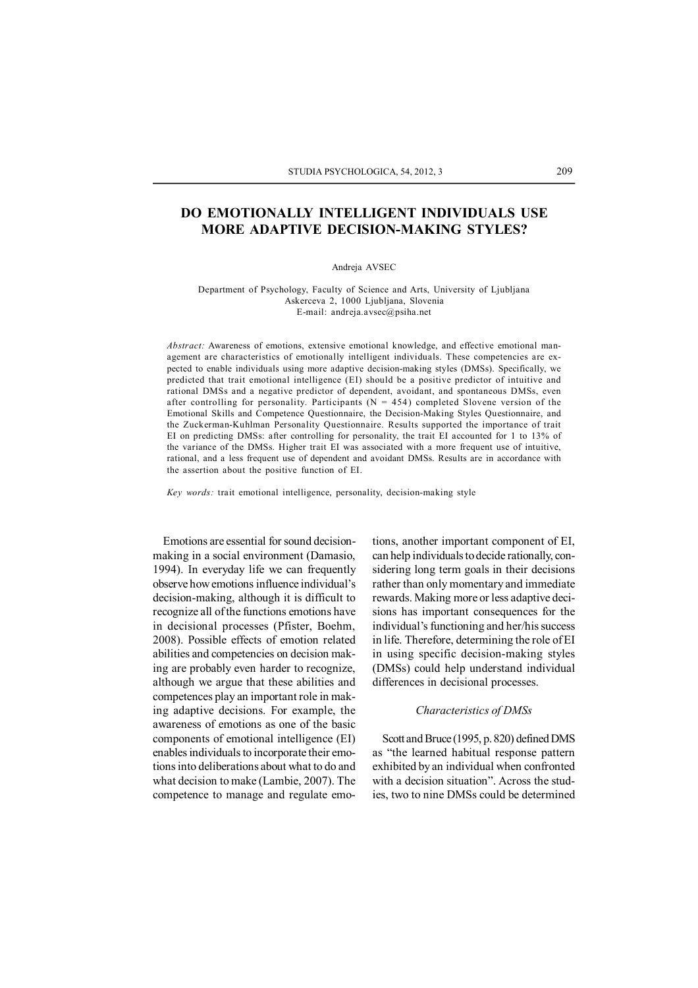# **DO EMOTIONALLY INTELLIGENT INDIVIDUALS USE MORE ADAPTIVE DECISION-MAKING STYLES?**

#### Andreja AVSEC

Department of Psychology, Faculty of Science and Arts, University of Ljubljana Askerceva 2, 1000 Ljubljana, Slovenia E-mail: andreja.avsec@psiha.net

*Abstract:* Awareness of emotions, extensive emotional knowledge, and effective emotional management are characteristics of emotionally intelligent individuals. These competencies are expected to enable individuals using more adaptive decision-making styles (DMSs). Specifically, we predicted that trait emotional intelligence (EI) should be a positive predictor of intuitive and rational DMSs and a negative predictor of dependent, avoidant, and spontaneous DMSs, even after controlling for personality. Participants ( $N = 454$ ) completed Slovene version of the Emotional Skills and Competence Questionnaire, the Decision-Making Styles Questionnaire, and the Zuckerman-Kuhlman Personality Questionnaire. Results supported the importance of trait EI on predicting DMSs: after controlling for personality, the trait EI accounted for 1 to 13% of the variance of the DMSs. Higher trait EI was associated with a more frequent use of intuitive, rational, and a less frequent use of dependent and avoidant DMSs. Results are in accordance with the assertion about the positive function of EI.

*Key words:* trait emotional intelligence, personality, decision-making style

Emotions are essential for sound decisionmaking in a social environment (Damasio, 1994). In everyday life we can frequently observe how emotions influence individual's decision-making, although it is difficult to recognize all of the functions emotions have in decisional processes (Pfister, Boehm, 2008). Possible effects of emotion related abilities and competencies on decision making are probably even harder to recognize, although we argue that these abilities and competences play an important role in making adaptive decisions. For example, the awareness of emotions as one of the basic components of emotional intelligence (EI) enables individuals to incorporate their emotions into deliberations about what to do and what decision to make (Lambie, 2007). The competence to manage and regulate emotions, another important component of EI, can help individuals to decide rationally, considering long term goals in their decisions rather than only momentary and immediate rewards. Making more or less adaptive decisions has important consequences for the individual's functioning and her/his success in life. Therefore, determining the role of EI in using specific decision-making styles (DMSs) could help understand individual differences in decisional processes.

## *Characteristics of DMSs*

Scott and Bruce (1995, p. 820) defined DMS as "the learned habitual response pattern exhibited by an individual when confronted with a decision situation". Across the studies, two to nine DMSs could be determined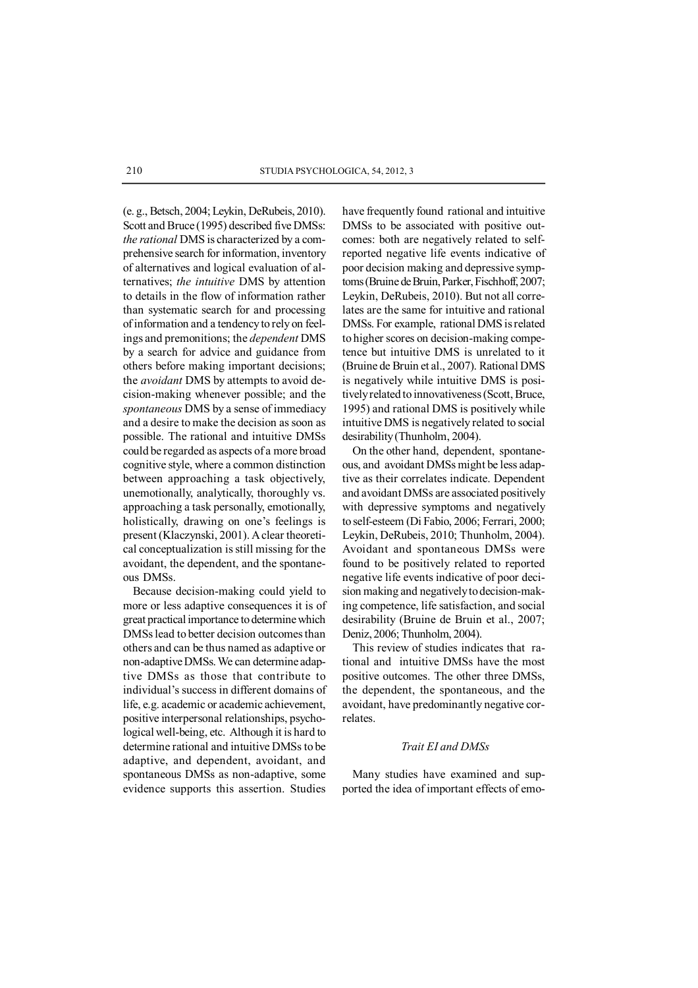(e. g., Betsch, 2004; Leykin, DeRubeis, 2010). Scott and Bruce (1995) described five DMSs: *the rational* DMS is characterized by a comprehensive search for information, inventory of alternatives and logical evaluation of alternatives; *the intuitive* DMS by attention to details in the flow of information rather than systematic search for and processing of information and a tendency to rely on feelings and premonitions; the *dependent* DMS by a search for advice and guidance from others before making important decisions; the *avoidant* DMS by attempts to avoid decision-making whenever possible; and the *spontaneous* DMS by a sense of immediacy and a desire to make the decision as soon as possible. The rational and intuitive DMSs could be regarded as aspects of a more broad cognitive style, where a common distinction between approaching a task objectively, unemotionally, analytically, thoroughly vs. approaching a task personally, emotionally, holistically, drawing on one's feelings is present (Klaczynski, 2001). A clear theoretical conceptualization is still missing for the avoidant, the dependent, and the spontaneous DMSs.

Because decision-making could yield to more or less adaptive consequences it is of great practical importance to determine which DMSs lead to better decision outcomes than others and can be thus named as adaptive or non-adaptive DMSs. We can determine adaptive DMSs as those that contribute to individual's success in different domains of life, e.g. academic or academic achievement, positive interpersonal relationships, psychological well-being, etc. Although it is hard to determine rational and intuitive DMSs to be adaptive, and dependent, avoidant, and spontaneous DMSs as non-adaptive, some evidence supports this assertion. Studies

have frequently found rational and intuitive DMSs to be associated with positive outcomes: both are negatively related to selfreported negative life events indicative of poor decision making and depressive symptoms (Bruine de Bruin, Parker, Fischhoff, 2007; Leykin, DeRubeis, 2010). But not all correlates are the same for intuitive and rational DMSs. For example, rational DMS is related to higher scores on decision-making competence but intuitive DMS is unrelated to it (Bruine de Bruin et al., 2007). Rational DMS is negatively while intuitive DMS is positively related to innovativeness (Scott, Bruce, 1995) and rational DMS is positively while intuitive DMS is negatively related to social desirability (Thunholm, 2004).

On the other hand, dependent, spontaneous, and avoidant DMSs might be less adaptive as their correlates indicate. Dependent and avoidant DMSs are associated positively with depressive symptoms and negatively to self-esteem (Di Fabio, 2006; Ferrari, 2000; Leykin, DeRubeis, 2010; Thunholm, 2004). Avoidant and spontaneous DMSs were found to be positively related to reported negative life events indicative of poor decision making and negatively to decision-making competence, life satisfaction, and social desirability (Bruine de Bruin et al., 2007; Deniz, 2006; Thunholm, 2004).

This review of studies indicates that rational and intuitive DMSs have the most positive outcomes. The other three DMSs, the dependent, the spontaneous, and the avoidant, have predominantly negative correlates.

# *Trait EI and DMSs*

Many studies have examined and supported the idea of important effects of emo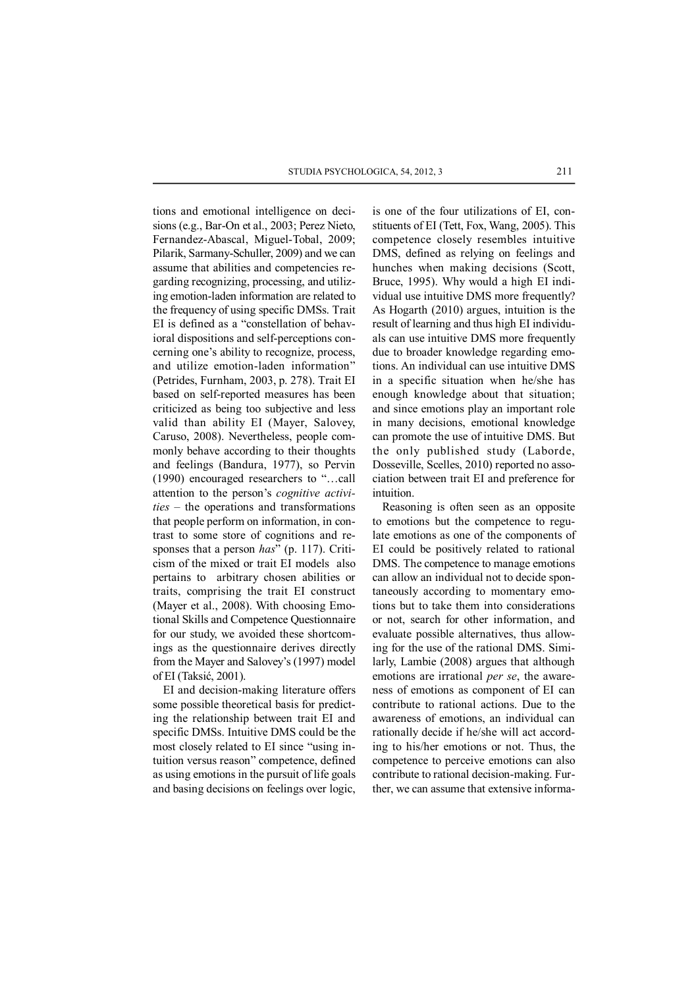tions and emotional intelligence on decisions (e.g., Bar-On et al., 2003; Perez Nieto, Fernandez-Abascal, Miguel-Tobal, 2009; Pilarik, Sarmany-Schuller, 2009) and we can assume that abilities and competencies regarding recognizing, processing, and utilizing emotion-laden information are related to the frequency of using specific DMSs. Trait EI is defined as a "constellation of behavioral dispositions and self-perceptions concerning one's ability to recognize, process, and utilize emotion-laden information" (Petrides, Furnham, 2003, p. 278). Trait EI based on self-reported measures has been criticized as being too subjective and less valid than ability EI (Mayer, Salovey, Caruso, 2008). Nevertheless, people commonly behave according to their thoughts and feelings (Bandura, 1977), so Pervin (1990) encouraged researchers to "…call attention to the person's *cognitive activities* – the operations and transformations that people perform on information, in contrast to some store of cognitions and responses that a person *has*" (p. 117). Criticism of the mixed or trait EI models also pertains to arbitrary chosen abilities or traits, comprising the trait EI construct (Mayer et al., 2008). With choosing Emotional Skills and Competence Questionnaire for our study, we avoided these shortcomings as the questionnaire derives directly from the Mayer and Salovey's (1997) model of EI (Taksić, 2001).

EI and decision-making literature offers some possible theoretical basis for predicting the relationship between trait EI and specific DMSs. Intuitive DMS could be the most closely related to EI since "using intuition versus reason" competence, defined as using emotions in the pursuit of life goals and basing decisions on feelings over logic,

is one of the four utilizations of EI, constituents of EI (Tett, Fox, Wang, 2005). This competence closely resembles intuitive DMS, defined as relying on feelings and hunches when making decisions (Scott, Bruce, 1995). Why would a high EI individual use intuitive DMS more frequently? As Hogarth (2010) argues, intuition is the result of learning and thus high EI individuals can use intuitive DMS more frequently due to broader knowledge regarding emotions. An individual can use intuitive DMS in a specific situation when he/she has enough knowledge about that situation; and since emotions play an important role in many decisions, emotional knowledge can promote the use of intuitive DMS. But the only published study (Laborde, Dosseville, Scelles, 2010) reported no association between trait EI and preference for intuition.

Reasoning is often seen as an opposite to emotions but the competence to regulate emotions as one of the components of EI could be positively related to rational DMS. The competence to manage emotions can allow an individual not to decide spontaneously according to momentary emotions but to take them into considerations or not, search for other information, and evaluate possible alternatives, thus allowing for the use of the rational DMS. Similarly, Lambie (2008) argues that although emotions are irrational *per se*, the awareness of emotions as component of EI can contribute to rational actions. Due to the awareness of emotions, an individual can rationally decide if he/she will act according to his/her emotions or not. Thus, the competence to perceive emotions can also contribute to rational decision-making. Further, we can assume that extensive informa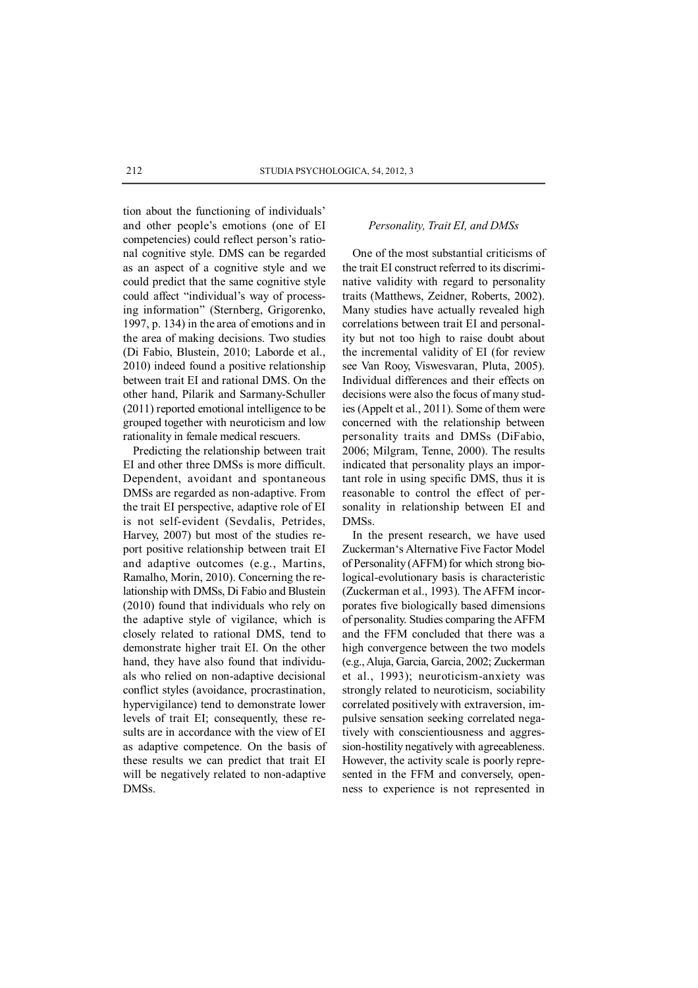tion about the functioning of individuals' and other people's emotions (one of EI competencies) could reflect person's rational cognitive style. DMS can be regarded as an aspect of a cognitive style and we could predict that the same cognitive style could affect "individual's way of processing information" (Sternberg, Grigorenko, 1997, p. 134) in the area of emotions and in the area of making decisions. Two studies (Di Fabio, Blustein, 2010; Laborde et al., 2010) indeed found a positive relationship between trait EI and rational DMS. On the other hand, Pilarik and Sarmany-Schuller (2011) reported emotional intelligence to be grouped together with neuroticism and low rationality in female medical rescuers.

Predicting the relationship between trait EI and other three DMSs is more difficult. Dependent, avoidant and spontaneous DMSs are regarded as non-adaptive. From the trait EI perspective, adaptive role of EI is not self-evident (Sevdalis, Petrides, Harvey, 2007) but most of the studies report positive relationship between trait EI and adaptive outcomes (e.g., Martins, Ramalho, Morin, 2010). Concerning the relationship with DMSs, Di Fabio and Blustein (2010) found that individuals who rely on the adaptive style of vigilance, which is closely related to rational DMS, tend to demonstrate higher trait EI. On the other hand, they have also found that individuals who relied on non-adaptive decisional conflict styles (avoidance, procrastination, hypervigilance) tend to demonstrate lower levels of trait EI; consequently, these results are in accordance with the view of EI as adaptive competence. On the basis of these results we can predict that trait EI will be negatively related to non-adaptive DMSs.

# *Personality, Trait EI, and DMSs*

One of the most substantial criticisms of the trait EI construct referred to its discriminative validity with regard to personality traits (Matthews, Zeidner, Roberts, 2002). Many studies have actually revealed high correlations between trait EI and personality but not too high to raise doubt about the incremental validity of EI (for review see Van Rooy, Viswesvaran, Pluta, 2005). Individual differences and their effects on decisions were also the focus of many studies (Appelt et al., 2011). Some of them were concerned with the relationship between personality traits and DMSs (DiFabio, 2006; Milgram, Tenne, 2000). The results indicated that personality plays an important role in using specific DMS, thus it is reasonable to control the effect of personality in relationship between EI and DMSs.

In the present research, we have used Zuckerman's Alternative Five Factor Model of Personality (AFFM) for which strong biological-evolutionary basis is characteristic (Zuckerman et al., 1993). The AFFM incorporates five biologically based dimensions of personality. Studies comparing the AFFM and the FFM concluded that there was a high convergence between the two models (e.g., Aluja, Garcia, Garcia, 2002; Zuckerman et al., 1993); neuroticism-anxiety was strongly related to neuroticism, sociability correlated positively with extraversion, impulsive sensation seeking correlated negatively with conscientiousness and aggression-hostility negatively with agreeableness. However, the activity scale is poorly represented in the FFM and conversely, openness to experience is not represented in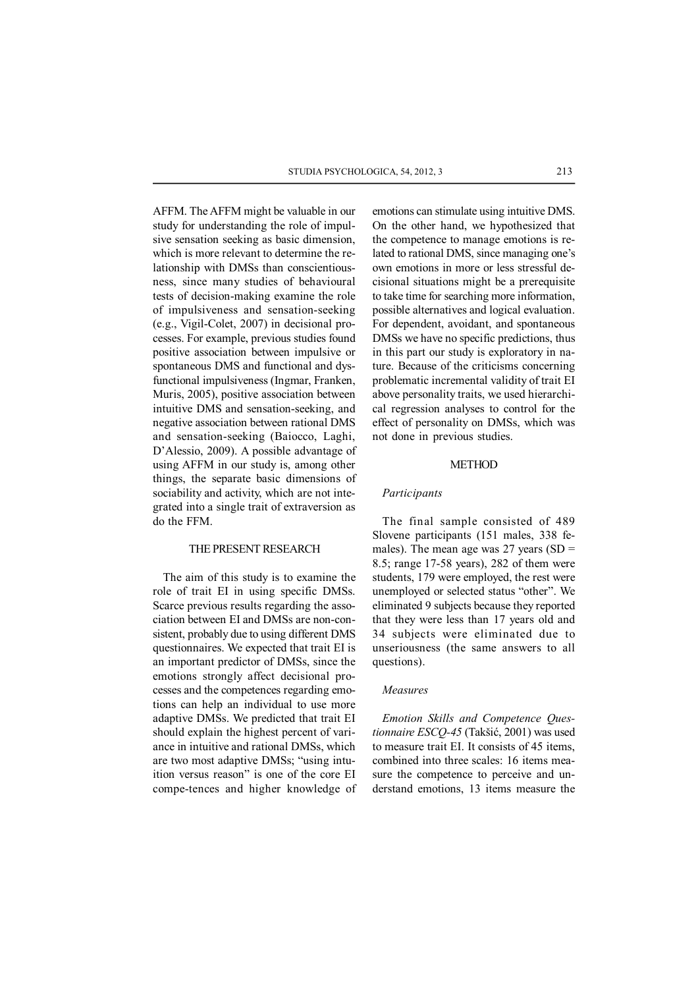AFFM. The AFFM might be valuable in our study for understanding the role of impulsive sensation seeking as basic dimension, which is more relevant to determine the relationship with DMSs than conscientiousness, since many studies of behavioural tests of decision-making examine the role of impulsiveness and sensation-seeking (e.g., Vigil-Colet, 2007) in decisional processes. For example, previous studies found positive association between impulsive or spontaneous DMS and functional and dysfunctional impulsiveness (Ingmar, Franken, Muris, 2005), positive association between intuitive DMS and sensation-seeking, and negative association between rational DMS and sensation-seeking (Baiocco, Laghi, D'Alessio, 2009). A possible advantage of using AFFM in our study is, among other things, the separate basic dimensions of sociability and activity, which are not integrated into a single trait of extraversion as do the FFM.

# THE PRESENT RESEARCH

The aim of this study is to examine the role of trait EI in using specific DMSs. Scarce previous results regarding the association between EI and DMSs are non-consistent, probably due to using different DMS questionnaires. We expected that trait EI is an important predictor of DMSs, since the emotions strongly affect decisional processes and the competences regarding emotions can help an individual to use more adaptive DMSs. We predicted that trait EI should explain the highest percent of variance in intuitive and rational DMSs, which are two most adaptive DMSs; "using intuition versus reason" is one of the core EI compe-tences and higher knowledge of emotions can stimulate using intuitive DMS. On the other hand, we hypothesized that the competence to manage emotions is related to rational DMS, since managing one's own emotions in more or less stressful decisional situations might be a prerequisite to take time for searching more information, possible alternatives and logical evaluation. For dependent, avoidant, and spontaneous DMSs we have no specific predictions, thus in this part our study is exploratory in nature. Because of the criticisms concerning problematic incremental validity of trait EI above personality traits, we used hierarchical regression analyses to control for the effect of personality on DMSs, which was not done in previous studies.

# **METHOD**

## *Participants*

The final sample consisted of 489 Slovene participants (151 males, 338 females). The mean age was  $27$  years (SD = 8.5; range 17-58 years), 282 of them were students, 179 were employed, the rest were unemployed or selected status "other". We eliminated 9 subjects because they reported that they were less than 17 years old and 34 subjects were eliminated due to unseriousness (the same answers to all questions).

#### *Measures*

*Emotion Skills and Competence Questionnaire ESCQ-45* (Takšić, 2001) was used to measure trait EI. It consists of 45 items, combined into three scales: 16 items measure the competence to perceive and understand emotions, 13 items measure the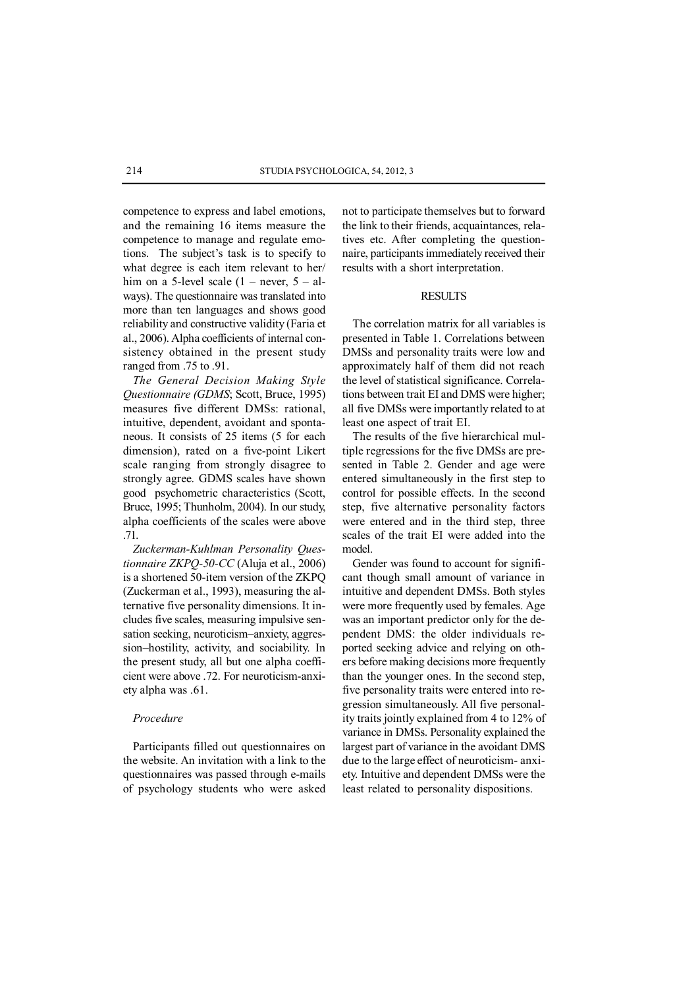competence to express and label emotions, and the remaining 16 items measure the competence to manage and regulate emotions. The subject's task is to specify to what degree is each item relevant to her/ him on a 5-level scale  $(1 -$  never,  $5 -$  always). The questionnaire was translated into more than ten languages and shows good reliability and constructive validity (Faria et al., 2006). Alpha coefficients of internal consistency obtained in the present study ranged from .75 to .91.

*The General Decision Making Style Questionnaire (GDMS*; Scott, Bruce, 1995) measures five different DMSs: rational, intuitive, dependent, avoidant and spontaneous. It consists of 25 items (5 for each dimension), rated on a five-point Likert scale ranging from strongly disagree to strongly agree. GDMS scales have shown good psychometric characteristics (Scott, Bruce, 1995; Thunholm, 2004). In our study, alpha coefficients of the scales were above .71.

*Zuckerman-Kuhlman Personality Questionnaire ZKPQ-50-CC* (Aluja et al., 2006) is a shortened 50-item version of the ZKPQ (Zuckerman et al., 1993), measuring the alternative five personality dimensions. It includes five scales, measuring impulsive sensation seeking, neuroticism–anxiety, aggression–hostility, activity, and sociability. In the present study, all but one alpha coefficient were above .72. For neuroticism-anxiety alpha was .61.

## *Procedure*

Participants filled out questionnaires on the website. An invitation with a link to the questionnaires was passed through e-mails of psychology students who were asked not to participate themselves but to forward the link to their friends, acquaintances, relatives etc. After completing the questionnaire, participants immediately received their results with a short interpretation.

## **RESULTS**

The correlation matrix for all variables is presented in Table 1. Correlations between DMSs and personality traits were low and approximately half of them did not reach the level of statistical significance. Correlations between trait EI and DMS were higher; all five DMSs were importantly related to at least one aspect of trait EI.

The results of the five hierarchical multiple regressions for the five DMSs are presented in Table 2. Gender and age were entered simultaneously in the first step to control for possible effects. In the second step, five alternative personality factors were entered and in the third step, three scales of the trait EI were added into the model.

Gender was found to account for significant though small amount of variance in intuitive and dependent DMSs. Both styles were more frequently used by females. Age was an important predictor only for the dependent DMS: the older individuals reported seeking advice and relying on others before making decisions more frequently than the younger ones. In the second step, five personality traits were entered into regression simultaneously. All five personality traits jointly explained from 4 to 12% of variance in DMSs. Personality explained the largest part of variance in the avoidant DMS due to the large effect of neuroticism- anxiety. Intuitive and dependent DMSs were the least related to personality dispositions.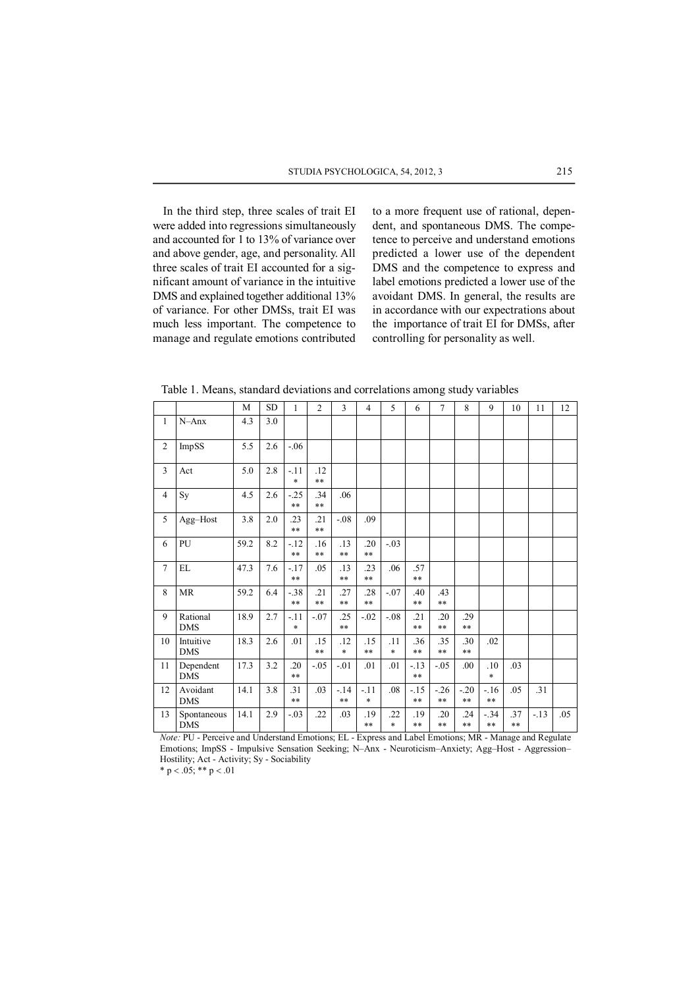In the third step, three scales of trait EI were added into regressions simultaneously and accounted for 1 to 13% of variance over and above gender, age, and personality. All three scales of trait EI accounted for a significant amount of variance in the intuitive DMS and explained together additional 13% of variance. For other DMSs, trait EI was much less important. The competence to manage and regulate emotions contributed

to a more frequent use of rational, dependent, and spontaneous DMS. The competence to perceive and understand emotions predicted a lower use of the dependent DMS and the competence to express and label emotions predicted a lower use of the avoidant DMS. In general, the results are in accordance with our expectrations about the importance of trait EI for DMSs, after controlling for personality as well.

Table 1. Means, standard deviations and correlations among study variables

|                |                           | M    | <b>SD</b> | 1                | $\overline{2}$ | 3                    | $\overline{4}$ | 5             | 6                   | 7              | 8              | 9               | 10           | 11    | 12  |
|----------------|---------------------------|------|-----------|------------------|----------------|----------------------|----------------|---------------|---------------------|----------------|----------------|-----------------|--------------|-------|-----|
| $\mathbf{1}$   | $N - Anx$                 | 4.3  | 3.0       |                  |                |                      |                |               |                     |                |                |                 |              |       |     |
| $\overline{2}$ | ImpSS                     | 5.5  | 2.6       | $-.06$           |                |                      |                |               |                     |                |                |                 |              |       |     |
| 3              | Act                       | 5.0  | 2.8       | $-.11$<br>$\ast$ | .12<br>$***$   |                      |                |               |                     |                |                |                 |              |       |     |
| $\overline{4}$ | Sy                        | 4.5  | 2.6       | $-.25$<br>**     | .34<br>$***$   | .06                  |                |               |                     |                |                |                 |              |       |     |
| 5              | Agg-Host                  | 3.8  | 2.0       | 23<br>**         | .21<br>$***$   | $-.08$               | .09            |               |                     |                |                |                 |              |       |     |
| 6              | PU                        | 59.2 | 8.2       | $-12$<br>$***$   | .16<br>$***$   | .13<br>$***$         | .20<br>$***$   | $-.03$        |                     |                |                |                 |              |       |     |
| $\overline{7}$ | EL                        | 47.3 | 7.6       | $-17$<br>**      | .05            | .13<br>$***$         | .23<br>$***$   | .06           | .57<br>$***$        |                |                |                 |              |       |     |
| 8              | <b>MR</b>                 | 59.2 | 6.4       | $-.38$<br>**     | .21<br>$***$   | .27<br>$***$         | .28<br>$***$   | $-.07$        | .40<br>$\ast\ast$   | .43<br>$***$   |                |                 |              |       |     |
| 9              | Rational<br><b>DMS</b>    | 18.9 | 2.7       | $-11$<br>$\ast$  | $-.07$         | .25<br>$***$         | $-.02$         | $-.08$        | .21<br>$***$        | .20<br>$***$   | .29<br>$***$   |                 |              |       |     |
| 10             | Intuitive<br><b>DMS</b>   | 18.3 | 2.6       | .01              | .15<br>$***$   | .12<br>$\ast$        | .15<br>$***$   | .11<br>$\ast$ | .36<br>$***$        | .35<br>$***$   | .30<br>$***$   | .02             |              |       |     |
| 11             | Dependent<br><b>DMS</b>   | 17.3 | 3.2       | .20<br>**        | $-.05$         | $-.01$               | .01            | .01           | $-13$<br>$***$      | $-.05$         | .00            | .10<br>$\ast$   | .03          |       |     |
| 12             | Avoidant<br><b>DMS</b>    | 14.1 | 3.8       | .31<br>$***$     | .03            | $-.14$<br>$\ast\ast$ | $-.11$<br>*    | .08           | $-15$<br>$\ast\ast$ | $-26$<br>$***$ | $-20$<br>$***$ | $-.16$<br>**    | .05          | .31   |     |
| 13             | Spontaneous<br><b>DMS</b> | 14.1 | 2.9       | $-.03$           | .22            | .03                  | .19<br>$***$   | .22<br>$\ast$ | .19<br>$\ast\ast$   | .20<br>$***$   | .24<br>$***$   | $-.34$<br>$***$ | .37<br>$***$ | $-13$ | .05 |

Note: PU - Perceive and Understand Emotions; EL - Express and Label Emotions; MR - Manage and Regulate Emotions; ImpSS - Impulsive Sensation Seeking; N-Anx - Neuroticism-Anxiety; Agg-Host - Aggression-Hostility, Act - Activity, Sy - Sociability

\*  $p < .05$ ; \*\*  $p < .01$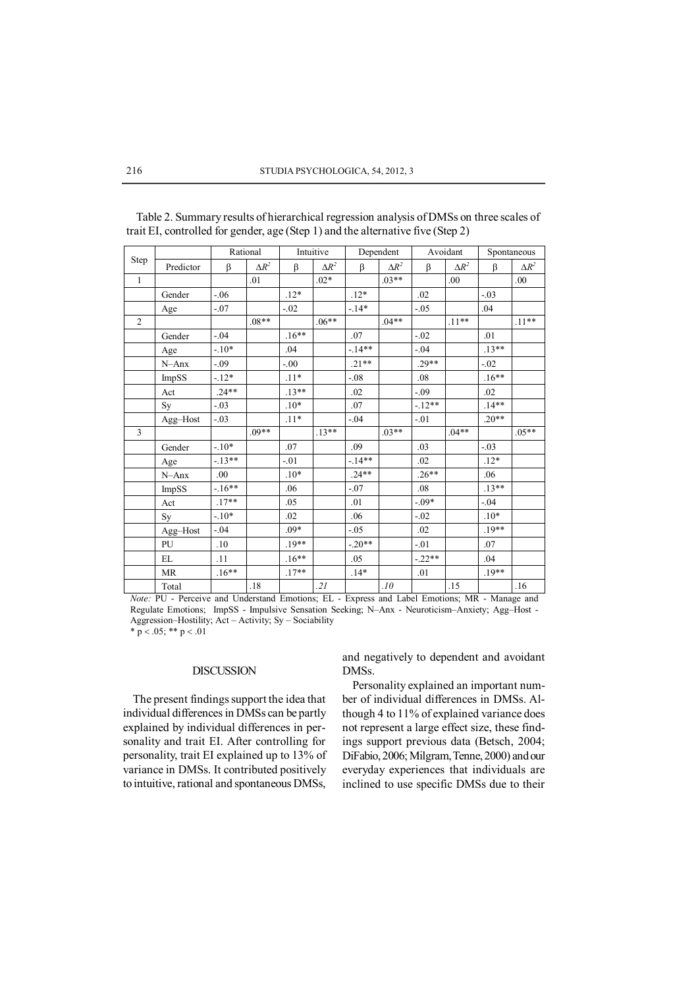| Step           |           | Rational |              | Intuitive |              | Dependent |              | Avoidant |              | Spontaneous |              |
|----------------|-----------|----------|--------------|-----------|--------------|-----------|--------------|----------|--------------|-------------|--------------|
|                | Predictor | β        | $\Delta R^2$ | β         | $\Delta R^2$ | β         | $\Delta R^2$ | β        | $\Delta R^2$ | β           | $\Delta R^2$ |
| $\mathbf{1}$   |           |          | .01          |           | $.02*$       |           | $.03**$      |          | .00          |             | .00          |
|                | Gender    | $-0.06$  |              | $.12*$    |              | $.12*$    |              | .02      |              | $-.03$      |              |
|                | Age       | $-.07$   |              | $-.02$    |              | $-14*$    |              | $-.05$   |              | .04         |              |
| $\overline{2}$ |           |          | $.08**$      |           | $.06**$      |           | $.04**$      |          | $.11**$      |             | $.11**$      |
|                | Gender    | $-.04$   |              | $.16**$   |              | .07       |              | $-.02$   |              | .01         |              |
|                | Age       | $-.10*$  |              | .04       |              | $-14**$   |              | $-.04$   |              | $.13**$     |              |
|                | N-Anx     | $-.09$   |              | $-.00$    |              | $.21**$   |              | $.29**$  |              | $-.02$      |              |
|                | ImpSS     | $-12*$   |              | $.11*$    |              | $-0.08$   |              | .08      |              | $.16**$     |              |
|                | Act       | $.24**$  |              | $.13**$   |              | .02       |              | $-.09$   |              | .02         |              |
|                | Sy        | $-.03$   |              | $.10*$    |              | .07       |              | $-12**$  |              | $.14**$     |              |
|                | Agg-Host  | $-.03$   |              | $.11*$    |              | $-.04$    |              | $-.01$   |              | $.20**$     |              |
| 3              |           |          | $.09**$      |           | $13**$       |           | $.03**$      |          | $.04**$      |             | $.05**$      |
|                | Gender    | $-10*$   |              | .07       |              | .09       |              | .03      |              | $-.03$      |              |
|                | Age       | $-13**$  |              | $-.01$    |              | $-14**$   |              | .02      |              | $.12*$      |              |
|                | N-Anx     | .00.     |              | $.10*$    |              | $.24**$   |              | $.26**$  |              | .06         |              |
|                | ImpSS     | $-16**$  |              | .06       |              | $-.07$    |              | .08      |              | $.13**$     |              |
|                | Act       | $.17**$  |              | .05       |              | .01       |              | $-0.09*$ |              | $-.04$      |              |
|                | Sy        | $-.10*$  |              | .02       |              | .06       |              | $-.02$   |              | $.10*$      |              |
|                | Agg-Host  | $-.04$   |              | .09*      |              | $-.05$    |              | .02      |              | $.19**$     |              |
|                | PU        | .10      |              | $.19**$   |              | $-.20**$  |              | $-.01$   |              | .07         |              |
|                | EL        | .11      |              | $.16**$   |              | .05       |              | $-.22**$ |              | .04         |              |
|                | <b>MR</b> | $.16**$  |              | $.17**$   |              | $.14*$    |              | .01      |              | $.19**$     |              |
|                | Total     |          | .18          |           | 21           |           | .10          |          | .15          |             | .16          |

Table 2. Summary results of hierarchical regression analysis of DMSs on three scales of trait EI, controlled for gender, age (Step 1) and the alternative five (Step 2)

Note: PU - Perceive and Understand Emotions, EL - Express and Label Emotions, MR - Manage and Regulate Emotions; ImpSS - Impulsive Sensation Seeking; N-Anx - Neuroticism-Anxiety; Agg-Host -Aggression-Hostility; Act - Activity; Sy - Sociability

\*  $p < .05$ ; \*\*  $p < .01$ 

# **DISCUSSION**

The present findings support the idea that individual differences in DMSs can be partly explained by individual differences in personality and trait EI. After controlling for personality, trait EI explained up to 13% of variance in DMSs. It contributed positively to intuitive, rational and spontaneous DMSs,

and negatively to dependent and avoidant DMS<sub>s</sub>.

Personality explained an important number of individual differences in DMSs. Although 4 to 11% of explained variance does not represent a large effect size, these findings support previous data (Betsch, 2004; DiFabio, 2006; Milgram, Tenne, 2000) and our everyday experiences that individuals are inclined to use specific DMSs due to their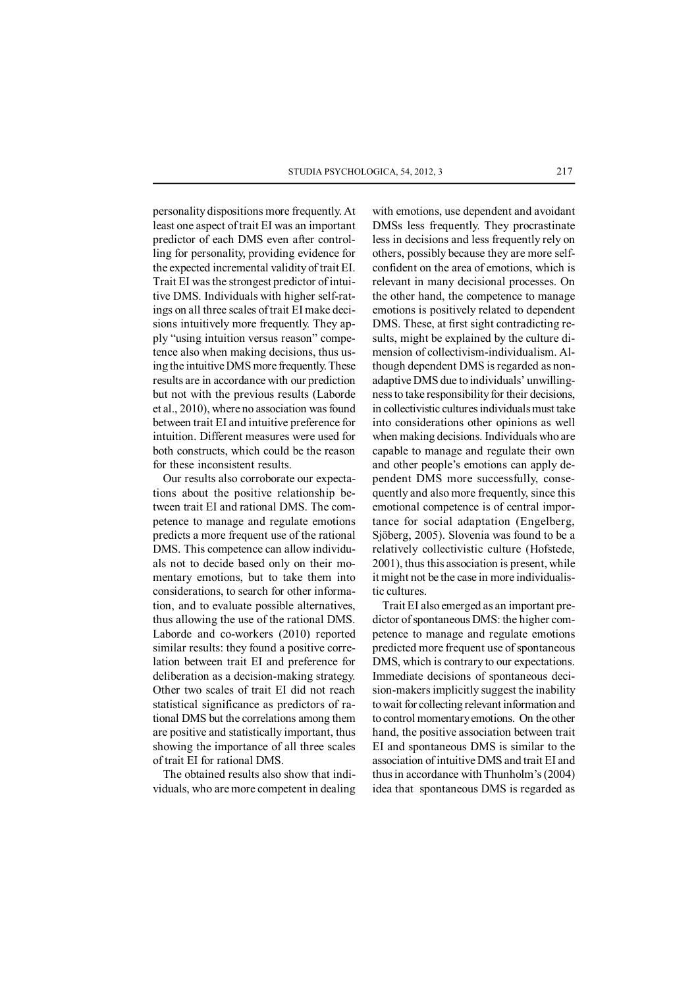personality dispositions more frequently. At least one aspect of trait EI was an important predictor of each DMS even after controlling for personality, providing evidence for the expected incremental validity of trait EI. Trait EI was the strongest predictor of intuitive DMS. Individuals with higher self-ratings on all three scales of trait EI make decisions intuitively more frequently. They apply "using intuition versus reason" competence also when making decisions, thus using the intuitive DMS more frequently. These results are in accordance with our prediction but not with the previous results (Laborde et al., 2010), where no association was found between trait EI and intuitive preference for intuition. Different measures were used for both constructs, which could be the reason for these inconsistent results.

Our results also corroborate our expectations about the positive relationship between trait EI and rational DMS. The competence to manage and regulate emotions predicts a more frequent use of the rational DMS. This competence can allow individuals not to decide based only on their momentary emotions, but to take them into considerations, to search for other information, and to evaluate possible alternatives, thus allowing the use of the rational DMS. Laborde and co-workers (2010) reported similar results: they found a positive correlation between trait EI and preference for deliberation as a decision-making strategy. Other two scales of trait EI did not reach statistical significance as predictors of rational DMS but the correlations among them are positive and statistically important, thus showing the importance of all three scales of trait EI for rational DMS.

The obtained results also show that individuals, who are more competent in dealing with emotions, use dependent and avoidant DMSs less frequently. They procrastinate less in decisions and less frequently rely on others, possibly because they are more selfconfident on the area of emotions, which is relevant in many decisional processes. On the other hand, the competence to manage emotions is positively related to dependent DMS. These, at first sight contradicting results, might be explained by the culture dimension of collectivism-individualism. Although dependent DMS is regarded as nonadaptive DMS due to individuals' unwillingness to take responsibility for their decisions, in collectivistic cultures individuals must take into considerations other opinions as well when making decisions. Individuals who are capable to manage and regulate their own and other people's emotions can apply dependent DMS more successfully, consequently and also more frequently, since this emotional competence is of central importance for social adaptation (Engelberg, Sjöberg, 2005). Slovenia was found to be a relatively collectivistic culture (Hofstede, 2001), thus this association is present, while it might not be the case in more individualistic cultures.

Trait EI also emerged as an important predictor of spontaneous DMS: the higher competence to manage and regulate emotions predicted more frequent use of spontaneous DMS, which is contrary to our expectations. Immediate decisions of spontaneous decision-makers implicitly suggest the inability to wait for collecting relevant information and to control momentary emotions. On the other hand, the positive association between trait EI and spontaneous DMS is similar to the association of intuitive DMS and trait EI and thus in accordance with Thunholm's (2004) idea that spontaneous DMS is regarded as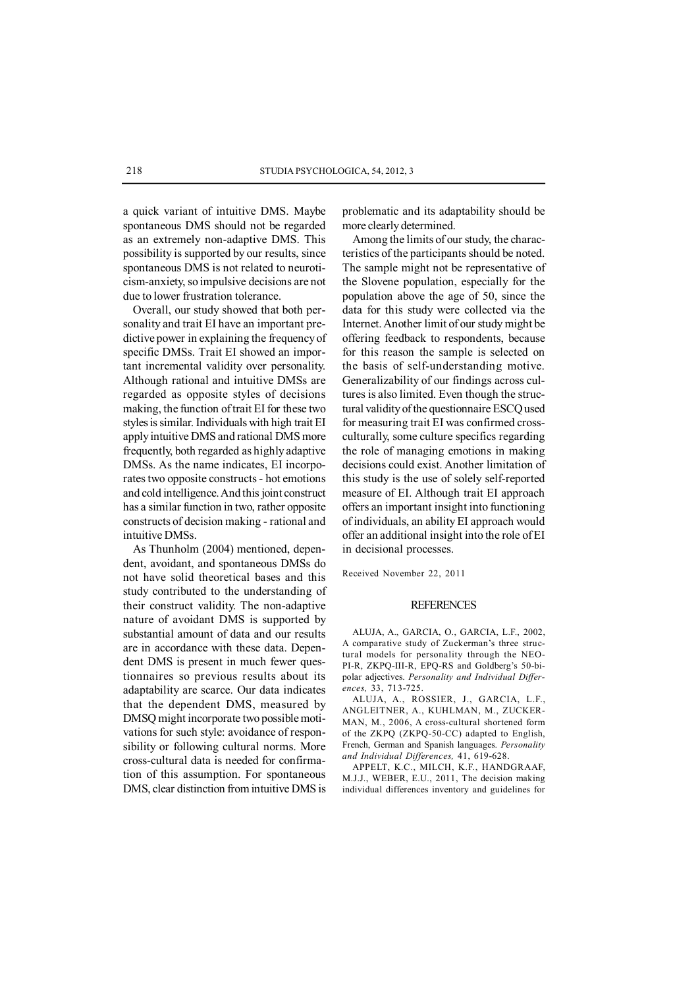a quick variant of intuitive DMS. Maybe spontaneous DMS should not be regarded as an extremely non-adaptive DMS. This possibility is supported by our results, since spontaneous DMS is not related to neuroticism-anxiety, so impulsive decisions are not due to lower frustration tolerance.

Overall, our study showed that both personality and trait EI have an important predictive power in explaining the frequency of specific DMSs. Trait EI showed an important incremental validity over personality. Although rational and intuitive DMSs are regarded as opposite styles of decisions making, the function of trait EI for these two styles is similar. Individuals with high trait EI apply intuitive DMS and rational DMS more frequently, both regarded as highly adaptive DMSs. As the name indicates, EI incorporates two opposite constructs - hot emotions and cold intelligence. And this joint construct has a similar function in two, rather opposite constructs of decision making - rational and intuitive DMSs.

As Thunholm (2004) mentioned, dependent, avoidant, and spontaneous DMSs do not have solid theoretical bases and this study contributed to the understanding of their construct validity. The non-adaptive nature of avoidant DMS is supported by substantial amount of data and our results are in accordance with these data. Dependent DMS is present in much fewer questionnaires so previous results about its adaptability are scarce. Our data indicates that the dependent DMS, measured by DMSQ might incorporate two possible motivations for such style: avoidance of responsibility or following cultural norms. More cross-cultural data is needed for confirmation of this assumption. For spontaneous DMS, clear distinction from intuitive DMS is

problematic and its adaptability should be more clearly determined.

Among the limits of our study, the characteristics of the participants should be noted. The sample might not be representative of the Slovene population, especially for the population above the age of 50, since the data for this study were collected via the Internet. Another limit of our study might be offering feedback to respondents, because for this reason the sample is selected on the basis of self-understanding motive. Generalizability of our findings across cultures is also limited. Even though the structural validity of the questionnaire ESCQ used for measuring trait EI was confirmed crossculturally, some culture specifics regarding the role of managing emotions in making decisions could exist. Another limitation of this study is the use of solely self-reported measure of EI. Although trait EI approach offers an important insight into functioning of individuals, an ability EI approach would offer an additional insight into the role of EI in decisional processes.

Received November 22, 2011

#### **REFERENCES**

ALUJA, A., GARCIA, O., GARCIA, L.F., 2002, A comparative study of Zuckerman's three structural models for personality through the NEO-PI-R, ZKPQ-III-R, EPQ-RS and Goldberg's 50-bipolar adjectives. *Personality and Individual Differences,* 33, 713-725.

ALUJA, A., ROSSIER, J., GARCIA, L.F., ANGLEITNER, A., KUHLMAN, M., ZUCKER-MAN, M., 2006, A cross-cultural shortened form of the ZKPQ (ZKPQ-50-CC) adapted to English, French, German and Spanish languages. *Personality and Individual Differences,* 41, 619-628.

APPELT, K.C., MILCH, K.F., HANDGRAAF, M.J.J., WEBER, E.U., 2011, The decision making individual differences inventory and guidelines for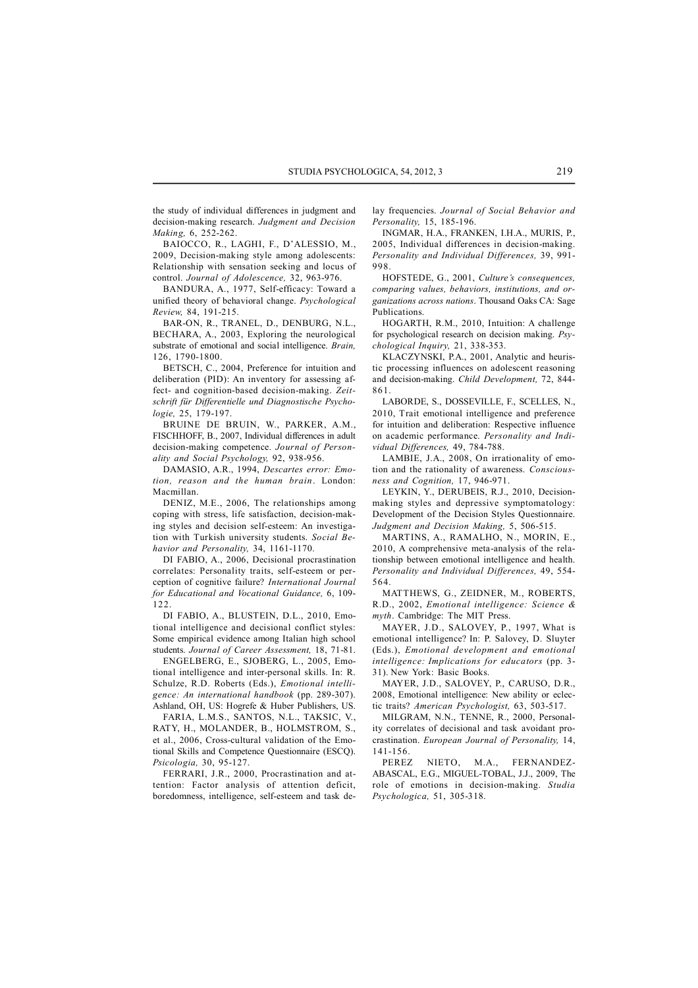the study of individual differences in judgment and decision-making research. *Judgment and Decision Making,* 6, 252-262.

BAIOCCO, R., LAGHI, F., D'ALESSIO, M., 2009, Decision-making style among adolescents: Relationship with sensation seeking and locus of control. *Journal of Adolescence,* 32, 963-976.

BANDURA, A., 1977, Self-efficacy: Toward a unified theory of behavioral change. *Psychological Review,* 84, 191-215.

BAR-ON, R., TRANEL, D., DENBURG, N.L., BECHARA, A., 2003, Exploring the neurological substrate of emotional and social intelligence. *Brain,* 126, 1790-1800.

BETSCH, C., 2004, Preference for intuition and deliberation (PID): An inventory for assessing affect- and cognition-based decision-making. *Zeitschrift für Differentielle und Diagnostische Psychologie,* 25, 179-197.

BRUINE DE BRUIN, W., PARKER, A.M., FISCHHOFF, B., 2007, Individual differences in adult decision-making competence. *Journal of Personality and Social Psychology,* 92, 938-956.

DAMASIO, A.R., 1994, *Descartes error: Emotion, reason and the human brain*. London: Macmillan.

DENIZ, M.E., 2006, The relationships among coping with stress, life satisfaction, decision-making styles and decision self-esteem: An investigation with Turkish university students. *Social Behavior and Personality,* 34, 1161-1170.

DI FABIO, A., 2006, Decisional procrastination correlates: Personality traits, self-esteem or perception of cognitive failure? *International Journal for Educational and Vocational Guidance,* 6, 109- 122.

DI FABIO, A., BLUSTEIN, D.L., 2010, Emotional intelligence and decisional conflict styles: Some empirical evidence among Italian high school students. *Journal of Career Assessment,* 18, 71-81.

ENGELBERG, E., SJOBERG, L., 2005, Emotional intelligence and inter-personal skills. In: R. Schulze, R.D. Roberts (Eds.), *Emotional intelligence: An international handbook* (pp. 289-307). Ashland, OH, US: Hogrefe & Huber Publishers, US.

FARIA, L.M.S., SANTOS, N.L., TAKSIC, V., RATY, H., MOLANDER, B., HOLMSTROM, S., et al., 2006, Cross-cultural validation of the Emotional Skills and Competence Questionnaire (ESCQ). *Psicologia,* 30, 95-127.

FERRARI, J.R., 2000, Procrastination and attention: Factor analysis of attention deficit, boredomness, intelligence, self-esteem and task delay frequencies. *Journal of Social Behavior and Personality,* 15, 185-196.

INGMAR, H.A., FRANKEN, I.H.A., MURIS, P., 2005, Individual differences in decision-making. *Personality and Individual Differences,* 39, 991- 998.

HOFSTEDE, G., 2001, *Culture's consequences, comparing values, behaviors, institutions, and organizations across nations*. Thousand Oaks CA: Sage Publications.

HOGARTH, R.M., 2010, Intuition: A challenge for psychological research on decision making. *Psychological Inquiry,* 21, 338-353.

KLACZYNSKI, P.A., 2001, Analytic and heuristic processing influences on adolescent reasoning and decision-making. *Child Development,* 72, 844- 861.

LABORDE, S., DOSSEVILLE, F., SCELLES, N., 2010, Trait emotional intelligence and preference for intuition and deliberation: Respective influence on academic performance. *Personality and Individual Differences,* 49, 784-788.

LAMBIE, J.A., 2008, On irrationality of emotion and the rationality of awareness. *Consciousness and Cognition,* 17, 946-971.

LEYKIN, Y., DERUBEIS, R.J., 2010, Decisionmaking styles and depressive symptomatology: Development of the Decision Styles Questionnaire. *Judgment and Decision Making,* 5, 506-515.

MARTINS, A., RAMALHO, N., MORIN, E., 2010, A comprehensive meta-analysis of the relationship between emotional intelligence and health. *Personality and Individual Differences,* 49, 554- 564.

MATTHEWS, G., ZEIDNER, M., ROBERTS, R.D., 2002, *Emotional intelligence: Science & myth*. Cambridge: The MIT Press.

MAYER, J.D., SALOVEY, P., 1997, What is emotional intelligence? In: P. Salovey, D. Sluyter (Eds.), *Emotional development and emotional intelligence: Implications for educators* (pp. 3- 31). New York: Basic Books.

MAYER, J.D., SALOVEY, P., CARUSO, D.R., 2008, Emotional intelligence: New ability or eclectic traits? *American Psychologist,* 63, 503-517.

MILGRAM, N.N., TENNE, R., 2000, Personality correlates of decisional and task avoidant procrastination. *European Journal of Personality,* 14, 141-156.

PEREZ NIETO, M.A., FERNANDEZ-ABASCAL, E.G., MIGUEL-TOBAL, J.J., 2009, The role of emotions in decision-making. *Studia Psychologica,* 51, 305-318.